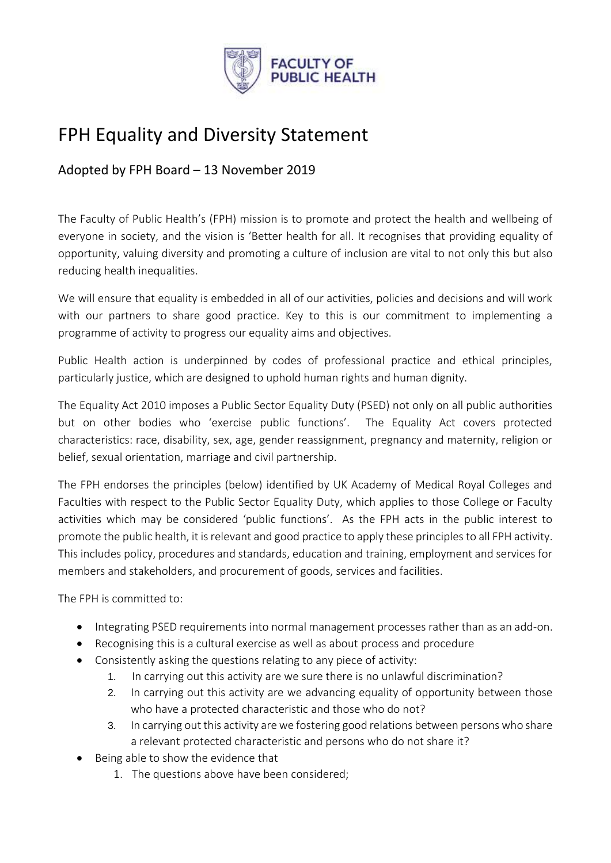

# FPH Equality and Diversity Statement

Adopted by FPH Board – 13 November 2019

The Faculty of Public Health's (FPH) mission is to promote and protect the health and wellbeing of everyone in society, and the vision is 'Better health for all. It recognises that providing equality of opportunity, valuing diversity and promoting a culture of inclusion are vital to not only this but also reducing health inequalities.

We will ensure that equality is embedded in all of our activities, policies and decisions and will work with our partners to share good practice. Key to this is our commitment to implementing a programme of activity to progress our equality aims and objectives.

Public Health action is underpinned by codes of professional practice and ethical principles, particularly justice, which are designed to uphold human rights and human dignity.

The Equality Act 2010 imposes a Public Sector Equality Duty (PSED) not only on all public authorities but on other bodies who 'exercise public functions'. The Equality Act covers protected characteristics: race, disability, sex, age, gender reassignment, pregnancy and maternity, religion or belief, sexual orientation, marriage and civil partnership.

The FPH endorses the principles (below) identified by UK Academy of Medical Royal Colleges and Faculties with respect to the Public Sector Equality Duty, which applies to those College or Faculty activities which may be considered 'public functions'. As the FPH acts in the public interest to promote the public health, it is relevant and good practice to apply these principles to all FPH activity. This includes policy, procedures and standards, education and training, employment and services for members and stakeholders, and procurement of goods, services and facilities.

The FPH is committed to:

- Integrating PSED requirements into normal management processes rather than as an add-on.
- Recognising this is a cultural exercise as well as about process and procedure
- Consistently asking the questions relating to any piece of activity:
	- 1. In carrying out this activity are we sure there is no unlawful discrimination?
	- 2. In carrying out this activity are we advancing equality of opportunity between those who have a protected characteristic and those who do not?
	- 3. In carrying out this activity are we fostering good relations between persons who share a relevant protected characteristic and persons who do not share it?
- $\bullet$  Being able to show the evidence that
	- 1. The questions above have been considered;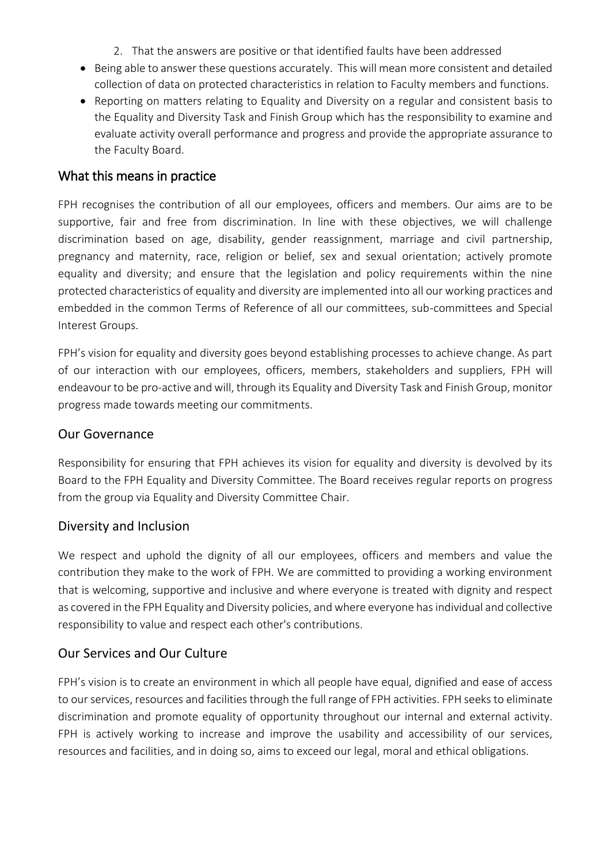- 2. That the answers are positive or that identified faults have been addressed
- Being able to answer these questions accurately. This will mean more consistent and detailed collection of data on protected characteristics in relation to Faculty members and functions.
- Reporting on matters relating to Equality and Diversity on a regular and consistent basis to the Equality and Diversity Task and Finish Group which has the responsibility to examine and evaluate activity overall performance and progress and provide the appropriate assurance to the Faculty Board.

#### What this means in practice

FPH recognises the contribution of all our employees, officers and members. Our aims are to be supportive, fair and free from discrimination. In line with these objectives, we will challenge discrimination based on age, disability, gender reassignment, marriage and civil partnership, pregnancy and maternity, race, religion or belief, sex and sexual orientation; actively promote equality and diversity; and ensure that the legislation and policy requirements within the nine protected characteristics of equality and diversity are implemented into all our working practices and embedded in the common Terms of Reference of all our committees, sub-committees and Special Interest Groups.

FPH's vision for equality and diversity goes beyond establishing processes to achieve change. As part of our interaction with our employees, officers, members, stakeholders and suppliers, FPH will endeavour to be pro-active and will, through its Equality and Diversity Task and Finish Group, monitor progress made towards meeting our commitments.

#### Our Governance

Responsibility for ensuring that FPH achieves its vision for equality and diversity is devolved by its Board to the FPH Equality and Diversity Committee. The Board receives regular reports on progress from the group via Equality and Diversity Committee Chair.

#### Diversity and Inclusion

We respect and uphold the dignity of all our employees, officers and members and value the contribution they make to the work of FPH. We are committed to providing a working environment that is welcoming, supportive and inclusive and where everyone is treated with dignity and respect as covered in the FPH Equality and Diversity policies, and where everyone has individual and collective responsibility to value and respect each other's contributions.

## Our Services and Our Culture

FPH's vision is to create an environment in which all people have equal, dignified and ease of access to our services, resources and facilities through the full range of FPH activities. FPH seeks to eliminate discrimination and promote equality of opportunity throughout our internal and external activity. FPH is actively working to increase and improve the usability and accessibility of our services, resources and facilities, and in doing so, aims to exceed our legal, moral and ethical obligations.